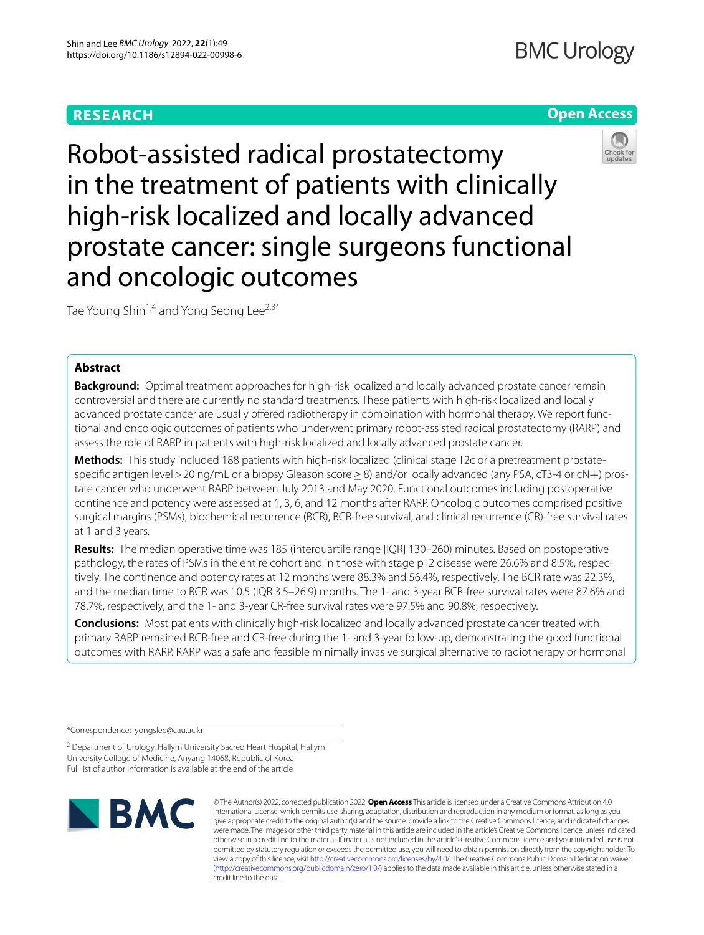# **RESEARCH**

# **BMC Urology**

# **Open Access**



Robot-assisted radical prostatectomy in the treatment of patients with clinically high-risk localized and locally advanced prostate cancer: single surgeons functional and oncologic outcomes

Tae Young Shin<sup>1,4</sup> and Yong Seong Lee<sup>2,3\*</sup>

# **Abstract**

**Background:** Optimal treatment approaches for high-risk localized and locally advanced prostate cancer remain controversial and there are currently no standard treatments. These patients with high-risk localized and locally advanced prostate cancer are usually offered radiotherapy in combination with hormonal therapy. We report functional and oncologic outcomes of patients who underwent primary robot-assisted radical prostatectomy (RARP) and assess the role of RARP in patients with high-risk localized and locally advanced prostate cancer.

**Methods:** This study included 188 patients with high-risk localized (clinical stage T2c or a pretreatment prostatespecific antigen level > 20 ng/mL or a biopsy Gleason score ≥ 8) and/or locally advanced (any PSA, cT3-4 or cN+) prostate cancer who underwent RARP between July 2013 and May 2020. Functional outcomes including postoperative continence and potency were assessed at 1, 3, 6, and 12 months after RARP. Oncologic outcomes comprised positive surgical margins (PSMs), biochemical recurrence (BCR), BCR-free survival, and clinical recurrence (CR)-free survival rates at 1 and 3 years.

**Results:** The median operative time was 185 (interquartile range [IQR] 130–260) minutes. Based on postoperative pathology, the rates of PSMs in the entire cohort and in those with stage pT2 disease were 26.6% and 8.5%, respectively. The continence and potency rates at 12 months were 88.3% and 56.4%, respectively. The BCR rate was 22.3%, and the median time to BCR was 10.5 (IQR 3.5–26.9) months. The 1- and 3-year BCR-free survival rates were 87.6% and 78.7%, respectively, and the 1- and 3-year CR-free survival rates were 97.5% and 90.8%, respectively.

**Conclusions:** Most patients with clinically high-risk localized and locally advanced prostate cancer treated with primary RARP remained BCR-free and CR-free during the 1- and 3-year follow-up, demonstrating the good functional outcomes with RARP. RARP was a safe and feasible minimally invasive surgical alternative to radiotherapy or hormonal

\*Correspondence: yongslee@cau.ac.kr

<sup>2</sup> Department of Urology, Hallym University Sacred Heart Hospital, Hallym University College of Medicine, Anyang 14068, Republic of Korea Full list of author information is available at the end of the article



© The Author(s) 2022, corrected publication 2022. **Open Access** This article is licensed under a Creative Commons Attribution 4.0 International License, which permits use, sharing, adaptation, distribution and reproduction in any medium or format, as long as you give appropriate credit to the original author(s) and the source, provide a link to the Creative Commons licence, and indicate if changes were made. The images or other third party material in this article are included in the article's Creative Commons licence, unless indicated otherwise in a credit line to the material. If material is not included in the article's Creative Commons licence and your intended use is not permitted by statutory regulation or exceeds the permitted use, you will need to obtain permission directly from the copyright holder. To view a copy of this licence, visit [http://creativecommons.org/licenses/by/4.0/.](http://creativecommons.org/licenses/by/4.0/) The Creative Commons Public Domain Dedication waiver [\(http://creativecommons.org/publicdomain/zero/1.0/\)](http://creativecommons.org/publicdomain/zero/1.0/) applies to the data made available in this article, unless otherwise stated in a credit line to the data.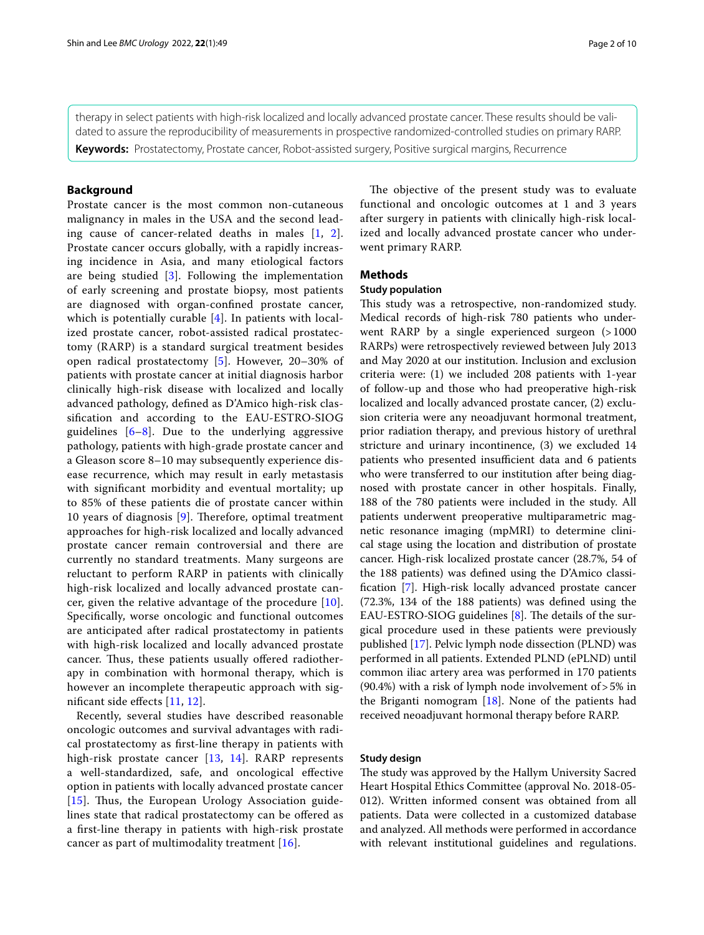therapy in select patients with high-risk localized and locally advanced prostate cancer. These results should be validated to assure the reproducibility of measurements in prospective randomized-controlled studies on primary RARP.

**Keywords:** Prostatectomy, Prostate cancer, Robot-assisted surgery, Positive surgical margins, Recurrence

# **Background**

Prostate cancer is the most common non-cutaneous malignancy in males in the USA and the second leading cause of cancer-related deaths in males [[1,](#page-8-0) [2\]](#page-8-1). Prostate cancer occurs globally, with a rapidly increasing incidence in Asia, and many etiological factors are being studied [[3\]](#page-8-2). Following the implementation of early screening and prostate biopsy, most patients are diagnosed with organ-confned prostate cancer, which is potentially curable [[4\]](#page-8-3). In patients with localized prostate cancer, robot-assisted radical prostatectomy (RARP) is a standard surgical treatment besides open radical prostatectomy [[5\]](#page-8-4). However, 20–30% of patients with prostate cancer at initial diagnosis harbor clinically high-risk disease with localized and locally advanced pathology, defned as D'Amico high-risk classifcation and according to the EAU-ESTRO-SIOG guidelines  $[6-8]$  $[6-8]$ . Due to the underlying aggressive pathology, patients with high-grade prostate cancer and a Gleason score 8–10 may subsequently experience disease recurrence, which may result in early metastasis with signifcant morbidity and eventual mortality; up to 85% of these patients die of prostate cancer within 10 years of diagnosis  $[9]$  $[9]$ . Therefore, optimal treatment approaches for high-risk localized and locally advanced prostate cancer remain controversial and there are currently no standard treatments. Many surgeons are reluctant to perform RARP in patients with clinically high-risk localized and locally advanced prostate cancer, given the relative advantage of the procedure [[10](#page-8-8)]. Specifcally, worse oncologic and functional outcomes are anticipated after radical prostatectomy in patients with high-risk localized and locally advanced prostate cancer. Thus, these patients usually offered radiotherapy in combination with hormonal therapy, which is however an incomplete therapeutic approach with signifcant side efects [\[11](#page-8-9), [12](#page-8-10)].

Recently, several studies have described reasonable oncologic outcomes and survival advantages with radical prostatectomy as frst-line therapy in patients with high-risk prostate cancer [[13,](#page-8-11) [14\]](#page-8-12). RARP represents a well-standardized, safe, and oncological efective option in patients with locally advanced prostate cancer [ $15$ ]. Thus, the European Urology Association guidelines state that radical prostatectomy can be ofered as a frst-line therapy in patients with high-risk prostate cancer as part of multimodality treatment [[16\]](#page-8-14).

The objective of the present study was to evaluate functional and oncologic outcomes at 1 and 3 years after surgery in patients with clinically high-risk localized and locally advanced prostate cancer who underwent primary RARP.

# **Methods**

# **Study population**

This study was a retrospective, non-randomized study. Medical records of high-risk 780 patients who underwent RARP by a single experienced surgeon (>1000 RARPs) were retrospectively reviewed between July 2013 and May 2020 at our institution. Inclusion and exclusion criteria were: (1) we included 208 patients with 1-year of follow-up and those who had preoperative high-risk localized and locally advanced prostate cancer, (2) exclusion criteria were any neoadjuvant hormonal treatment, prior radiation therapy, and previous history of urethral stricture and urinary incontinence, (3) we excluded 14 patients who presented insufficient data and 6 patients who were transferred to our institution after being diagnosed with prostate cancer in other hospitals. Finally, 188 of the 780 patients were included in the study. All patients underwent preoperative multiparametric magnetic resonance imaging (mpMRI) to determine clinical stage using the location and distribution of prostate cancer. High-risk localized prostate cancer (28.7%, 54 of the 188 patients) was defned using the D'Amico classifcation [[7\]](#page-8-15). High-risk locally advanced prostate cancer (72.3%, 134 of the 188 patients) was defned using the EAU-ESTRO-SIOG guidelines  $[8]$  $[8]$  $[8]$ . The details of the surgical procedure used in these patients were previously published [\[17](#page-8-16)]. Pelvic lymph node dissection (PLND) was performed in all patients. Extended PLND (ePLND) until common iliac artery area was performed in 170 patients  $(90.4%)$  with a risk of lymph node involvement of > 5% in the Briganti nomogram  $[18]$  $[18]$ . None of the patients had received neoadjuvant hormonal therapy before RARP.

## **Study design**

The study was approved by the Hallym University Sacred Heart Hospital Ethics Committee (approval No. 2018-05- 012). Written informed consent was obtained from all patients. Data were collected in a customized database and analyzed. All methods were performed in accordance with relevant institutional guidelines and regulations.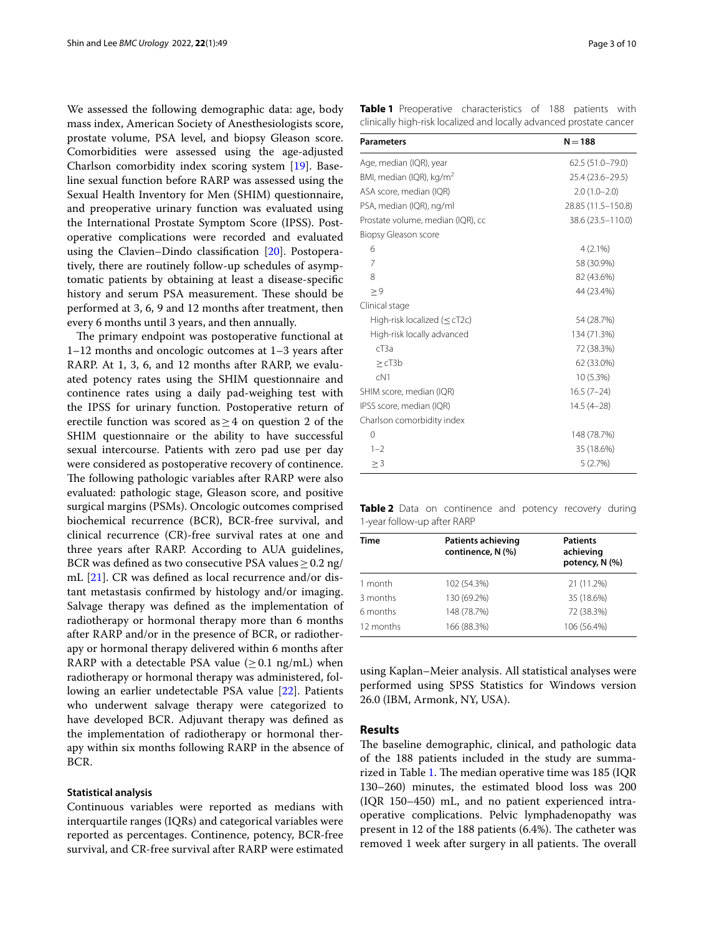We assessed the following demographic data: age, body mass index, American Society of Anesthesiologists score, prostate volume, PSA level, and biopsy Gleason score. Comorbidities were assessed using the age-adjusted Charlson comorbidity index scoring system [[19](#page-8-18)]. Baseline sexual function before RARP was assessed using the Sexual Health Inventory for Men (SHIM) questionnaire, and preoperative urinary function was evaluated using the International Prostate Symptom Score (IPSS). Postoperative complications were recorded and evaluated using the Clavien–Dindo classifcation [[20\]](#page-8-19). Postoperatively, there are routinely follow-up schedules of asymptomatic patients by obtaining at least a disease-specifc history and serum PSA measurement. These should be performed at 3, 6, 9 and 12 months after treatment, then every 6 months until 3 years, and then annually.

The primary endpoint was postoperative functional at 1–12 months and oncologic outcomes at 1–3 years after RARP. At 1, 3, 6, and 12 months after RARP, we evaluated potency rates using the SHIM questionnaire and continence rates using a daily pad-weighing test with the IPSS for urinary function. Postoperative return of erectile function was scored as  $\geq$  4 on question 2 of the SHIM questionnaire or the ability to have successful sexual intercourse. Patients with zero pad use per day were considered as postoperative recovery of continence. The following pathologic variables after RARP were also evaluated: pathologic stage, Gleason score, and positive surgical margins (PSMs). Oncologic outcomes comprised biochemical recurrence (BCR), BCR-free survival, and clinical recurrence (CR)-free survival rates at one and three years after RARP. According to AUA guidelines, BCR was defined as two consecutive PSA values > 0.2 ng/ mL [[21\]](#page-8-20). CR was defned as local recurrence and/or distant metastasis confrmed by histology and/or imaging. Salvage therapy was defned as the implementation of radiotherapy or hormonal therapy more than 6 months after RARP and/or in the presence of BCR, or radiotherapy or hormonal therapy delivered within 6 months after RARP with a detectable PSA value ( $\geq$  0.1 ng/mL) when radiotherapy or hormonal therapy was administered, following an earlier undetectable PSA value [[22](#page-8-21)]. Patients who underwent salvage therapy were categorized to have developed BCR. Adjuvant therapy was defned as the implementation of radiotherapy or hormonal therapy within six months following RARP in the absence of BCR.

### **Statistical analysis**

Continuous variables were reported as medians with interquartile ranges (IQRs) and categorical variables were reported as percentages. Continence, potency, BCR-free survival, and CR-free survival after RARP were estimated <span id="page-2-0"></span>**Table 1** Preoperative characteristics of 188 patients with clinically high-risk localized and locally advanced prostate cancer

| <b>Parameters</b>                    | $N = 188$          |
|--------------------------------------|--------------------|
| Age, median (IQR), year              | 62.5 (51.0-79.0)   |
| BMI, median (IQR), kg/m <sup>2</sup> | 25.4 (23.6-29.5)   |
| ASA score, median (IQR)              | $2.0(1.0-2.0)$     |
| PSA, median (IQR), ng/ml             | 28.85 (11.5-150.8) |
| Prostate volume, median (IQR), cc    | 38.6 (23.5-110.0)  |
| Biopsy Gleason score                 |                    |
| 6                                    | $4(2.1\%)$         |
| 7                                    | 58 (30.9%)         |
| 8                                    | 82 (43.6%)         |
| > 9                                  | 44 (23.4%)         |
| Clinical stage                       |                    |
| High-risk localized ( $\leq$ cT2c)   | 54 (28.7%)         |
| High-risk locally advanced           | 134 (71.3%)        |
| $c$ T3a                              | 72 (38.3%)         |
| $>\mathsf{c}$ T3b                    | 62 (33.0%)         |
| cN1                                  | 10 (5.3%)          |
| SHIM score, median (IQR)             | $16.5(7-24)$       |
| IPSS score, median (IQR)             | $14.5(4-28)$       |
| Charlson comorbidity index           |                    |
| 0                                    | 148 (78.7%)        |
| $1 - 2$                              | 35 (18.6%)         |
| $\geq$ 3                             | 5(2.7%)            |

<span id="page-2-1"></span>**Table 2** Data on continence and potency recovery during 1-year follow-up after RARP

| Time      | <b>Patients achieving</b><br>continence, N (%) | <b>Patients</b><br>achieving<br>potency, N (%) |
|-----------|------------------------------------------------|------------------------------------------------|
| 1 month   | 102 (54.3%)                                    | 21 (11.2%)                                     |
| 3 months  | 130 (69.2%)                                    | 35 (18.6%)                                     |
| 6 months  | 148 (78.7%)                                    | 72 (38.3%)                                     |
| 12 months | 166 (88.3%)                                    | 106 (56.4%)                                    |

using Kaplan–Meier analysis. All statistical analyses were performed using SPSS Statistics for Windows version 26.0 (IBM, Armonk, NY, USA).

### **Results**

The baseline demographic, clinical, and pathologic data of the 188 patients included in the study are summa-rized in Table [1](#page-2-0). The median operative time was 185 (IQR 130–260) minutes, the estimated blood loss was 200 (IQR 150–450) mL, and no patient experienced intraoperative complications. Pelvic lymphadenopathy was present in 12 of the 188 patients  $(6.4%)$ . The catheter was removed 1 week after surgery in all patients. The overall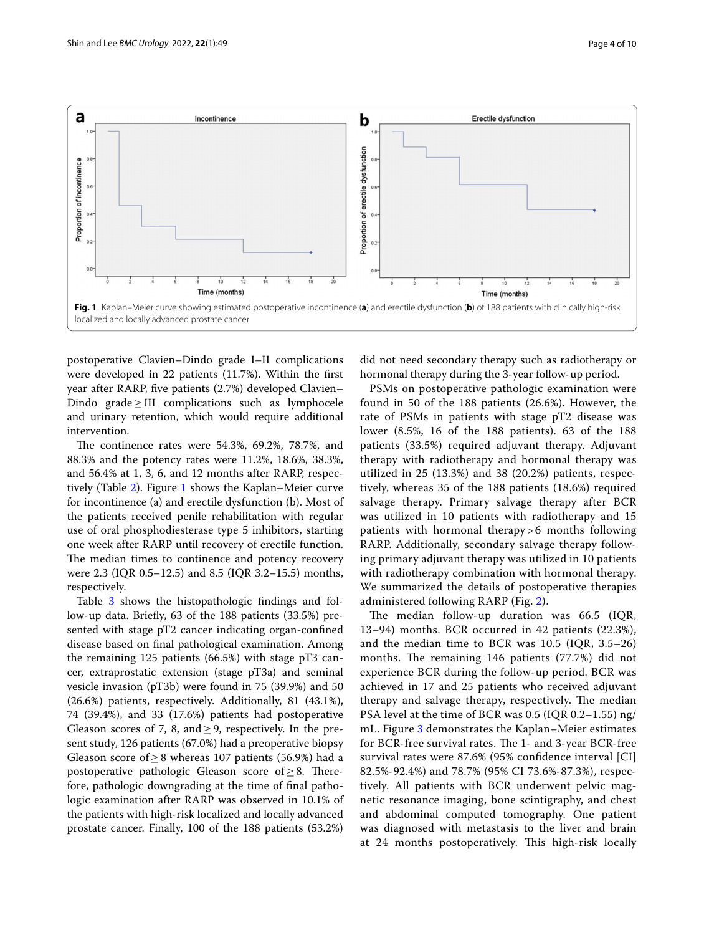

<span id="page-3-0"></span>postoperative Clavien–Dindo grade I–II complications were developed in 22 patients (11.7%). Within the frst year after RARP, fve patients (2.7%) developed Clavien– Dindo grade≥III complications such as lymphocele and urinary retention, which would require additional intervention.

The continence rates were 54.3%, 69.2%, 78.7%, and 88.3% and the potency rates were 11.2%, 18.6%, 38.3%, and 56.4% at 1, 3, 6, and 12 months after RARP, respectively (Table [2](#page-2-1)). Figure [1](#page-3-0) shows the Kaplan–Meier curve for incontinence (a) and erectile dysfunction (b). Most of the patients received penile rehabilitation with regular use of oral phosphodiesterase type 5 inhibitors, starting one week after RARP until recovery of erectile function. The median times to continence and potency recovery were 2.3 (IQR 0.5–12.5) and 8.5 (IQR 3.2–15.5) months, respectively.

Table [3](#page-4-0) shows the histopathologic findings and follow-up data. Briefy, 63 of the 188 patients (33.5%) presented with stage pT2 cancer indicating organ-confned disease based on fnal pathological examination. Among the remaining 125 patients (66.5%) with stage pT3 cancer, extraprostatic extension (stage pT3a) and seminal vesicle invasion (pT3b) were found in 75 (39.9%) and 50 (26.6%) patients, respectively. Additionally, 81 (43.1%), 74 (39.4%), and 33 (17.6%) patients had postoperative Gleason scores of 7, 8, and  $\geq$  9, respectively. In the present study, 126 patients (67.0%) had a preoperative biopsy Gleason score of ≥8 whereas 107 patients (56.9%) had a postoperative pathologic Gleason score of  $\geq 8$ . Therefore, pathologic downgrading at the time of fnal pathologic examination after RARP was observed in 10.1% of the patients with high-risk localized and locally advanced prostate cancer. Finally, 100 of the 188 patients (53.2%)

did not need secondary therapy such as radiotherapy or hormonal therapy during the 3-year follow-up period.

PSMs on postoperative pathologic examination were found in 50 of the 188 patients (26.6%). However, the rate of PSMs in patients with stage pT2 disease was lower (8.5%, 16 of the 188 patients). 63 of the 188 patients (33.5%) required adjuvant therapy. Adjuvant therapy with radiotherapy and hormonal therapy was utilized in 25 (13.3%) and 38 (20.2%) patients, respectively, whereas 35 of the 188 patients (18.6%) required salvage therapy. Primary salvage therapy after BCR was utilized in 10 patients with radiotherapy and 15 patients with hormonal therapy > 6 months following RARP. Additionally, secondary salvage therapy following primary adjuvant therapy was utilized in 10 patients with radiotherapy combination with hormonal therapy. We summarized the details of postoperative therapies administered following RARP (Fig. [2\)](#page-5-0).

The median follow-up duration was  $66.5$  (IQR, 13–94) months. BCR occurred in 42 patients (22.3%), and the median time to BCR was 10.5 (IQR, 3.5–26) months. The remaining 146 patients (77.7%) did not experience BCR during the follow-up period. BCR was achieved in 17 and 25 patients who received adjuvant therapy and salvage therapy, respectively. The median PSA level at the time of BCR was 0.5 (IQR 0.2–1.55) ng/ mL. Figure [3](#page-5-1) demonstrates the Kaplan–Meier estimates for BCR-free survival rates. The 1- and 3-year BCR-free survival rates were 87.6% (95% confdence interval [CI] 82.5%-92.4%) and 78.7% (95% CI 73.6%-87.3%), respectively. All patients with BCR underwent pelvic magnetic resonance imaging, bone scintigraphy, and chest and abdominal computed tomography. One patient was diagnosed with metastasis to the liver and brain at 24 months postoperatively. This high-risk locally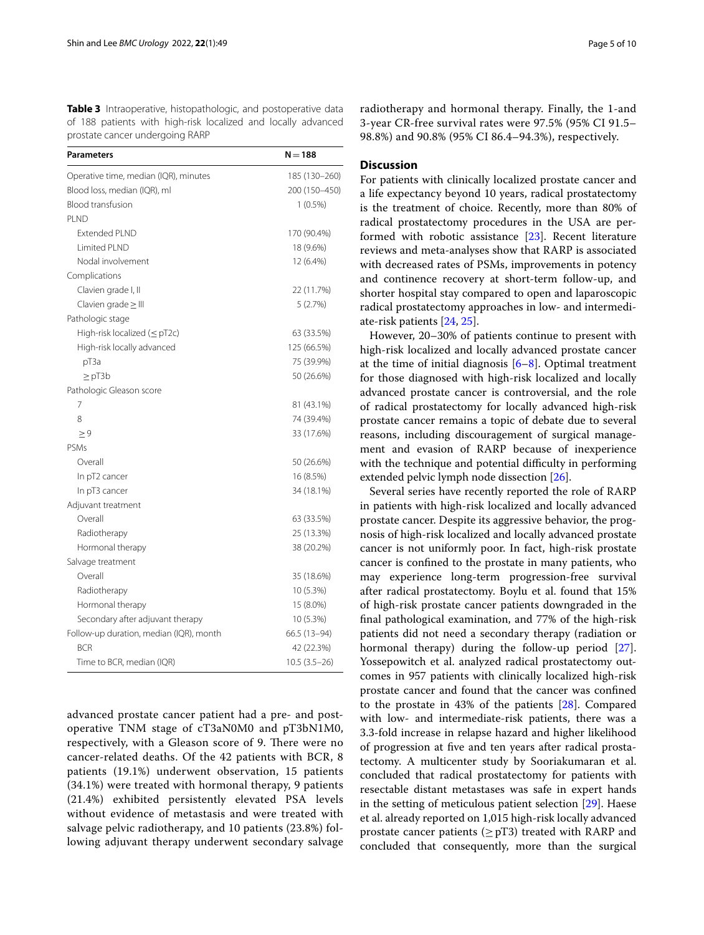<span id="page-4-0"></span>**Table 3** Intraoperative, histopathologic, and postoperative data of 188 patients with high-risk localized and locally advanced prostate cancer undergoing RARP

| <b>Parameters</b>                       | $N = 188$      |
|-----------------------------------------|----------------|
| Operative time, median (IQR), minutes   | 185 (130-260)  |
| Blood loss, median (IQR), ml            | 200 (150-450)  |
| <b>Blood transfusion</b>                | $1(0.5\%)$     |
| PLND                                    |                |
| <b>Extended PLND</b>                    | 170 (90.4%)    |
| I imited PI ND                          | 18 (9.6%)      |
| Nodal involvement                       | 12 (6.4%)      |
| Complications                           |                |
| Clavien grade I, II                     | 22 (11.7%)     |
| Clavien grade $\geq$ III                | 5(2.7%)        |
| Pathologic stage                        |                |
| High-risk localized $(\leq pT2c)$       | 63 (33.5%)     |
| High-risk locally advanced              | 125 (66.5%)    |
| pT3a                                    | 75 (39.9%)     |
| $\geq$ pT3b                             | 50 (26.6%)     |
| Pathologic Gleason score                |                |
| 7                                       | 81 (43.1%)     |
| 8                                       | 74 (39.4%)     |
| $\geq 9$                                | 33 (17.6%)     |
| PSMs                                    |                |
| Overall                                 | 50 (26.6%)     |
| In pT2 cancer                           | 16 (8.5%)      |
| In pT3 cancer                           | 34 (18.1%)     |
| Adjuvant treatment                      |                |
| Overall                                 | 63 (33.5%)     |
| Radiotherapy                            | 25 (13.3%)     |
| Hormonal therapy                        | 38 (20.2%)     |
| Salvage treatment                       |                |
| Overall                                 | 35 (18.6%)     |
| Radiotherapy                            | 10 (5.3%)      |
| Hormonal therapy                        | 15 (8.0%)      |
| Secondary after adjuvant therapy        | 10 (5.3%)      |
| Follow-up duration, median (IQR), month | 66.5 (13-94)   |
| <b>BCR</b>                              | 42 (22.3%)     |
| Time to BCR, median (IQR)               | $10.5(3.5-26)$ |

advanced prostate cancer patient had a pre- and postoperative TNM stage of cT3aN0M0 and pT3bN1M0, respectively, with a Gleason score of 9. There were no cancer-related deaths. Of the 42 patients with BCR, 8 patients (19.1%) underwent observation, 15 patients (34.1%) were treated with hormonal therapy, 9 patients (21.4%) exhibited persistently elevated PSA levels without evidence of metastasis and were treated with salvage pelvic radiotherapy, and 10 patients (23.8%) following adjuvant therapy underwent secondary salvage

radiotherapy and hormonal therapy. Finally, the 1-and 3-year CR-free survival rates were 97.5% (95% CI 91.5– 98.8%) and 90.8% (95% CI 86.4–94.3%), respectively.

## **Discussion**

For patients with clinically localized prostate cancer and a life expectancy beyond 10 years, radical prostatectomy is the treatment of choice. Recently, more than 80% of radical prostatectomy procedures in the USA are performed with robotic assistance [\[23](#page-8-22)]. Recent literature reviews and meta-analyses show that RARP is associated with decreased rates of PSMs, improvements in potency and continence recovery at short-term follow-up, and shorter hospital stay compared to open and laparoscopic radical prostatectomy approaches in low- and intermediate-risk patients [[24,](#page-8-23) [25](#page-8-24)].

However, 20–30% of patients continue to present with high-risk localized and locally advanced prostate cancer at the time of initial diagnosis  $[6–8]$  $[6–8]$  $[6–8]$ . Optimal treatment for those diagnosed with high-risk localized and locally advanced prostate cancer is controversial, and the role of radical prostatectomy for locally advanced high-risk prostate cancer remains a topic of debate due to several reasons, including discouragement of surgical management and evasion of RARP because of inexperience with the technique and potential difficulty in performing extended pelvic lymph node dissection [\[26](#page-8-25)].

Several series have recently reported the role of RARP in patients with high-risk localized and locally advanced prostate cancer. Despite its aggressive behavior, the prognosis of high-risk localized and locally advanced prostate cancer is not uniformly poor. In fact, high-risk prostate cancer is confned to the prostate in many patients, who may experience long-term progression-free survival after radical prostatectomy. Boylu et al. found that 15% of high-risk prostate cancer patients downgraded in the fnal pathological examination, and 77% of the high-risk patients did not need a secondary therapy (radiation or hormonal therapy) during the follow-up period [\[27](#page-8-26)]. Yossepowitch et al. analyzed radical prostatectomy outcomes in 957 patients with clinically localized high-risk prostate cancer and found that the cancer was confned to the prostate in 43% of the patients [[28](#page-8-27)]. Compared with low- and intermediate-risk patients, there was a 3.3-fold increase in relapse hazard and higher likelihood of progression at fve and ten years after radical prostatectomy. A multicenter study by Sooriakumaran et al. concluded that radical prostatectomy for patients with resectable distant metastases was safe in expert hands in the setting of meticulous patient selection [[29](#page-8-28)]. Haese et al. already reported on 1,015 high-risk locally advanced prostate cancer patients ( $\geq$  pT3) treated with RARP and concluded that consequently, more than the surgical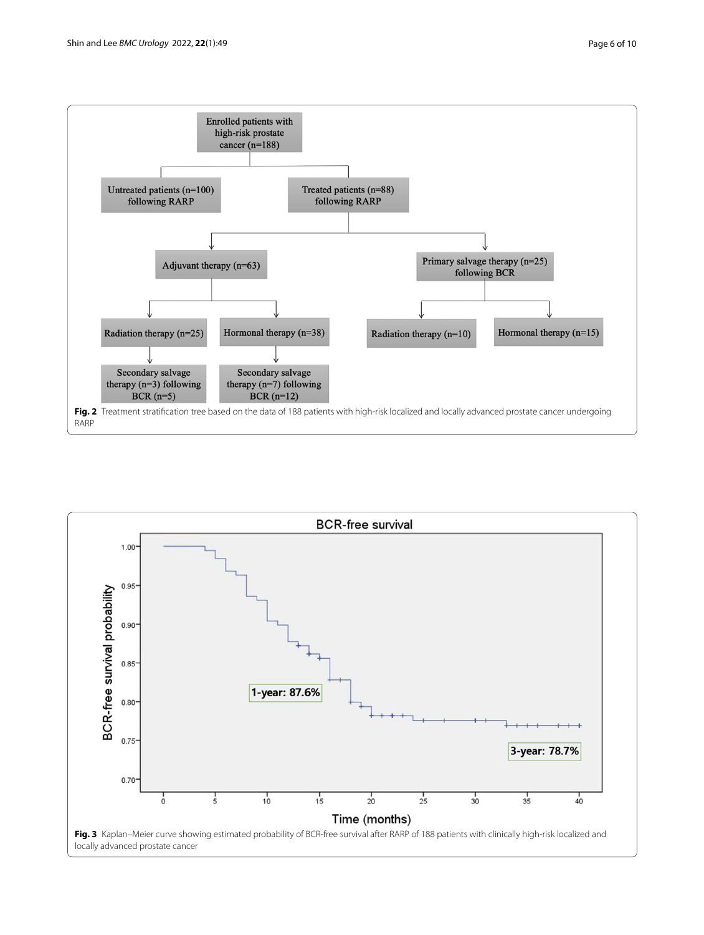

<span id="page-5-1"></span><span id="page-5-0"></span>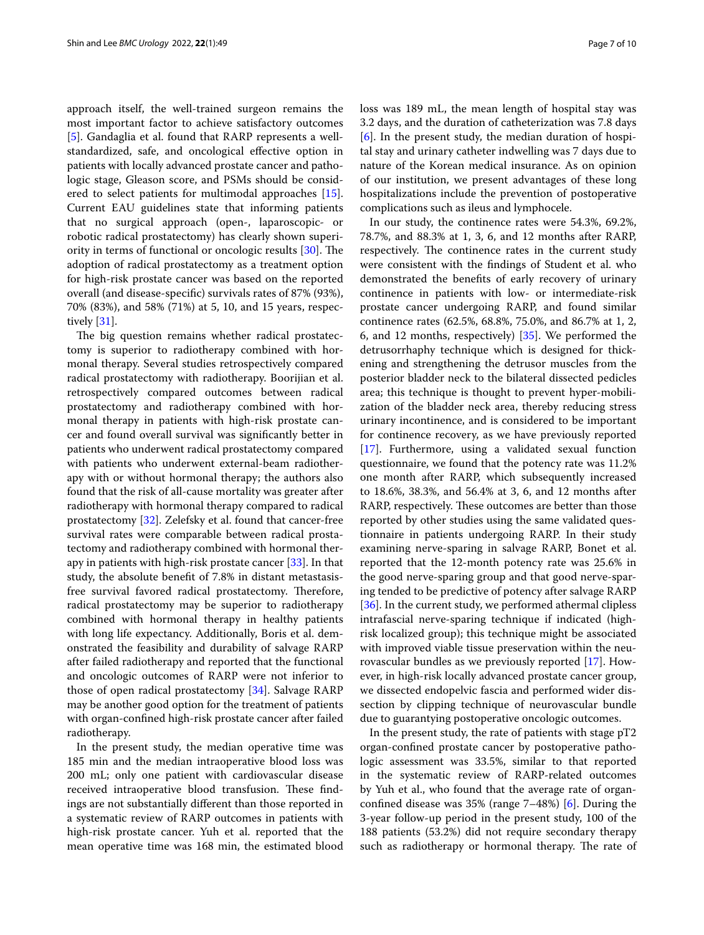approach itself, the well-trained surgeon remains the most important factor to achieve satisfactory outcomes [[5\]](#page-8-4). Gandaglia et al. found that RARP represents a wellstandardized, safe, and oncological efective option in patients with locally advanced prostate cancer and pathologic stage, Gleason score, and PSMs should be considered to select patients for multimodal approaches [\[15](#page-8-13)]. Current EAU guidelines state that informing patients that no surgical approach (open-, laparoscopic- or robotic radical prostatectomy) has clearly shown superi-ority in terms of functional or oncologic results [\[30](#page-8-29)]. The adoption of radical prostatectomy as a treatment option for high-risk prostate cancer was based on the reported overall (and disease-specifc) survivals rates of 87% (93%), 70% (83%), and 58% (71%) at 5, 10, and 15 years, respectively [\[31\]](#page-8-30).

The big question remains whether radical prostatectomy is superior to radiotherapy combined with hormonal therapy. Several studies retrospectively compared radical prostatectomy with radiotherapy. Boorijian et al. retrospectively compared outcomes between radical prostatectomy and radiotherapy combined with hormonal therapy in patients with high-risk prostate cancer and found overall survival was signifcantly better in patients who underwent radical prostatectomy compared with patients who underwent external-beam radiotherapy with or without hormonal therapy; the authors also found that the risk of all-cause mortality was greater after radiotherapy with hormonal therapy compared to radical prostatectomy [\[32](#page-8-31)]. Zelefsky et al. found that cancer-free survival rates were comparable between radical prostatectomy and radiotherapy combined with hormonal therapy in patients with high-risk prostate cancer [[33\]](#page-8-32). In that study, the absolute beneft of 7.8% in distant metastasisfree survival favored radical prostatectomy. Therefore, radical prostatectomy may be superior to radiotherapy combined with hormonal therapy in healthy patients with long life expectancy. Additionally, Boris et al. demonstrated the feasibility and durability of salvage RARP after failed radiotherapy and reported that the functional and oncologic outcomes of RARP were not inferior to those of open radical prostatectomy [\[34](#page-8-33)]. Salvage RARP may be another good option for the treatment of patients with organ-confned high-risk prostate cancer after failed radiotherapy.

In the present study, the median operative time was 185 min and the median intraoperative blood loss was 200 mL; only one patient with cardiovascular disease received intraoperative blood transfusion. These findings are not substantially diferent than those reported in a systematic review of RARP outcomes in patients with high-risk prostate cancer. Yuh et al. reported that the mean operative time was 168 min, the estimated blood loss was 189 mL, the mean length of hospital stay was 3.2 days, and the duration of catheterization was 7.8 days [[6\]](#page-8-5). In the present study, the median duration of hospital stay and urinary catheter indwelling was 7 days due to nature of the Korean medical insurance. As on opinion of our institution, we present advantages of these long hospitalizations include the prevention of postoperative complications such as ileus and lymphocele.

In our study, the continence rates were 54.3%, 69.2%, 78.7%, and 88.3% at 1, 3, 6, and 12 months after RARP, respectively. The continence rates in the current study were consistent with the fndings of Student et al. who demonstrated the benefts of early recovery of urinary continence in patients with low- or intermediate-risk prostate cancer undergoing RARP, and found similar continence rates (62.5%, 68.8%, 75.0%, and 86.7% at 1, 2, 6, and 12 months, respectively) [[35](#page-8-34)]. We performed the detrusorrhaphy technique which is designed for thickening and strengthening the detrusor muscles from the posterior bladder neck to the bilateral dissected pedicles area; this technique is thought to prevent hyper-mobilization of the bladder neck area, thereby reducing stress urinary incontinence, and is considered to be important for continence recovery, as we have previously reported [[17\]](#page-8-16). Furthermore, using a validated sexual function questionnaire, we found that the potency rate was 11.2% one month after RARP, which subsequently increased to 18.6%, 38.3%, and 56.4% at 3, 6, and 12 months after RARP, respectively. These outcomes are better than those reported by other studies using the same validated questionnaire in patients undergoing RARP. In their study examining nerve-sparing in salvage RARP, Bonet et al. reported that the 12-month potency rate was 25.6% in the good nerve-sparing group and that good nerve-sparing tended to be predictive of potency after salvage RARP [[36\]](#page-8-35). In the current study, we performed athermal clipless intrafascial nerve-sparing technique if indicated (highrisk localized group); this technique might be associated with improved viable tissue preservation within the neurovascular bundles as we previously reported [\[17](#page-8-16)]. However, in high-risk locally advanced prostate cancer group, we dissected endopelvic fascia and performed wider dissection by clipping technique of neurovascular bundle due to guarantying postoperative oncologic outcomes.

In the present study, the rate of patients with stage pT2 organ-confned prostate cancer by postoperative pathologic assessment was 33.5%, similar to that reported in the systematic review of RARP-related outcomes by Yuh et al., who found that the average rate of organconfned disease was 35% (range 7–48%) [[6\]](#page-8-5). During the 3-year follow-up period in the present study, 100 of the 188 patients (53.2%) did not require secondary therapy such as radiotherapy or hormonal therapy. The rate of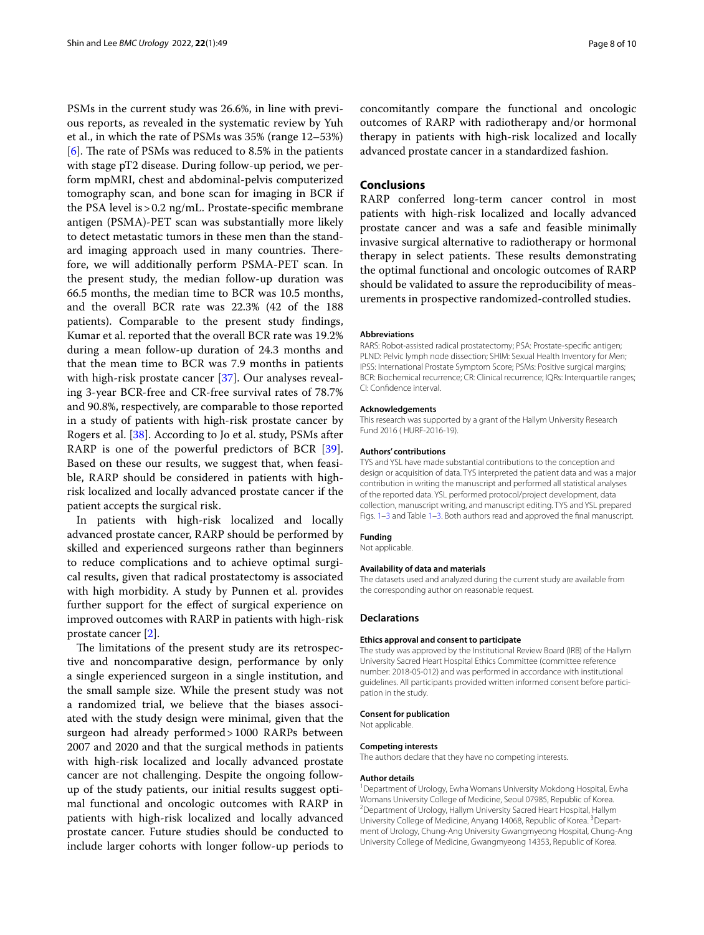PSMs in the current study was 26.6%, in line with previous reports, as revealed in the systematic review by Yuh et al., in which the rate of PSMs was 35% (range 12–53%) [[6\]](#page-8-5). The rate of PSMs was reduced to 8.5% in the patients with stage pT2 disease. During follow-up period, we perform mpMRI, chest and abdominal-pelvis computerized tomography scan, and bone scan for imaging in BCR if the PSA level is>0.2 ng/mL. Prostate-specifc membrane antigen (PSMA)-PET scan was substantially more likely to detect metastatic tumors in these men than the standard imaging approach used in many countries. Therefore, we will additionally perform PSMA-PET scan. In the present study, the median follow-up duration was 66.5 months, the median time to BCR was 10.5 months, and the overall BCR rate was 22.3% (42 of the 188 patients). Comparable to the present study fndings, Kumar et al. reported that the overall BCR rate was 19.2% during a mean follow-up duration of 24.3 months and that the mean time to BCR was 7.9 months in patients with high-risk prostate cancer [[37](#page-9-0)]. Our analyses revealing 3-year BCR-free and CR-free survival rates of 78.7% and 90.8%, respectively, are comparable to those reported in a study of patients with high-risk prostate cancer by Rogers et al. [[38](#page-9-1)]. According to Jo et al. study, PSMs after RARP is one of the powerful predictors of BCR [\[39](#page-9-2)]. Based on these our results, we suggest that, when feasible, RARP should be considered in patients with highrisk localized and locally advanced prostate cancer if the patient accepts the surgical risk.

In patients with high-risk localized and locally advanced prostate cancer, RARP should be performed by skilled and experienced surgeons rather than beginners to reduce complications and to achieve optimal surgical results, given that radical prostatectomy is associated with high morbidity. A study by Punnen et al. provides further support for the efect of surgical experience on improved outcomes with RARP in patients with high-risk prostate cancer [[2\]](#page-8-1).

The limitations of the present study are its retrospective and noncomparative design, performance by only a single experienced surgeon in a single institution, and the small sample size. While the present study was not a randomized trial, we believe that the biases associated with the study design were minimal, given that the surgeon had already performed>1000 RARPs between 2007 and 2020 and that the surgical methods in patients with high-risk localized and locally advanced prostate cancer are not challenging. Despite the ongoing followup of the study patients, our initial results suggest optimal functional and oncologic outcomes with RARP in patients with high-risk localized and locally advanced prostate cancer. Future studies should be conducted to include larger cohorts with longer follow-up periods to concomitantly compare the functional and oncologic outcomes of RARP with radiotherapy and/or hormonal therapy in patients with high-risk localized and locally advanced prostate cancer in a standardized fashion.

### **Conclusions**

RARP conferred long-term cancer control in most patients with high-risk localized and locally advanced prostate cancer and was a safe and feasible minimally invasive surgical alternative to radiotherapy or hormonal therapy in select patients. These results demonstrating the optimal functional and oncologic outcomes of RARP should be validated to assure the reproducibility of measurements in prospective randomized-controlled studies.

#### **Abbreviations**

RARS: Robot-assisted radical prostatectomy; PSA: Prostate-specifc antigen; PLND: Pelvic lymph node dissection; SHIM: Sexual Health Inventory for Men; IPSS: International Prostate Symptom Score; PSMs: Positive surgical margins; BCR: Biochemical recurrence; CR: Clinical recurrence; IQRs: Interquartile ranges; CI: Confdence interval.

#### **Acknowledgements**

This research was supported by a grant of the Hallym University Research Fund 2016 ( HURF-2016-19).

#### **Authors' contributions**

TYS and YSL have made substantial contributions to the conception and design or acquisition of data. TYS interpreted the patient data and was a major contribution in writing the manuscript and performed all statistical analyses of the reported data. YSL performed protocol/project development, data collection, manuscript writing, and manuscript editing. TYS and YSL prepared Figs. [1–](#page-3-0)[3](#page-5-1) and Table [1–](#page-2-0)[3](#page-4-0). Both authors read and approved the fnal manuscript.

#### **Funding**

Not applicable.

#### **Availability of data and materials**

The datasets used and analyzed during the current study are available from the corresponding author on reasonable request.

#### **Declarations**

#### **Ethics approval and consent to participate**

The study was approved by the Institutional Review Board (IRB) of the Hallym University Sacred Heart Hospital Ethics Committee (committee reference number: 2018-05-012) and was performed in accordance with institutional guidelines. All participants provided written informed consent before participation in the study.

#### **Consent for publication**

Not applicable.

#### **Competing interests**

The authors declare that they have no competing interests.

#### **Author details**

<sup>1</sup> Department of Urology, Ewha Womans University Mokdong Hospital, Ewha Womans University College of Medicine, Seoul 07985, Republic of Korea. 2 <sup>2</sup> Department of Urology, Hallym University Sacred Heart Hospital, Hallym University College of Medicine, Anyang 14068, Republic of Korea. <sup>3</sup> Department of Urology, Chung-Ang University Gwangmyeong Hospital, Chung-Ang University College of Medicine, Gwangmyeong 14353, Republic of Korea.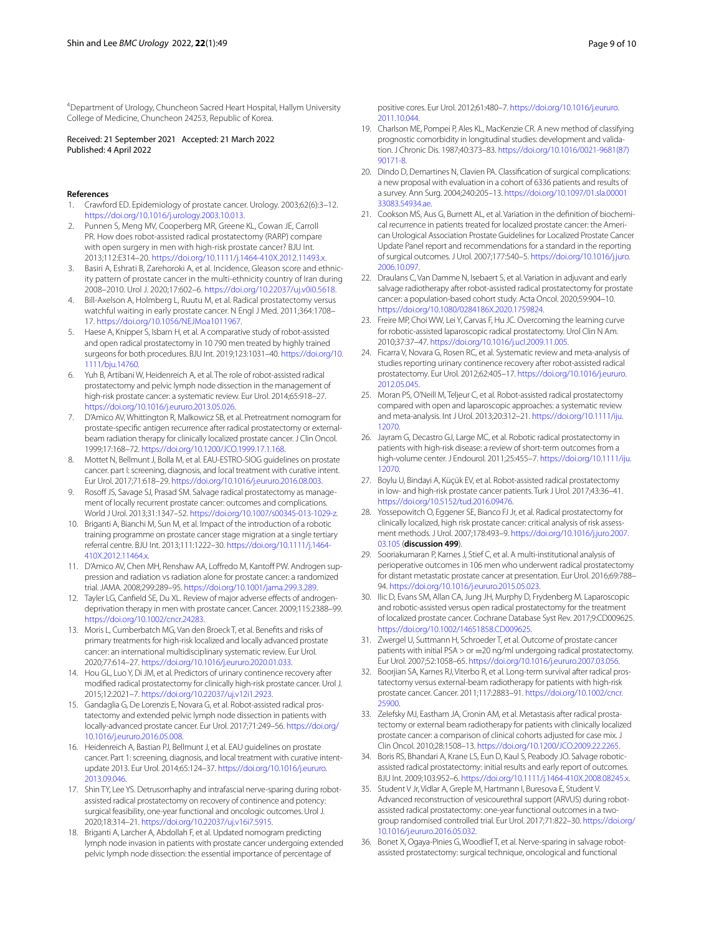4 Department of Urology, Chuncheon Sacred Heart Hospital, Hallym University College of Medicine, Chuncheon 24253, Republic of Korea.

Received: 21 September 2021 Accepted: 21 March 2022 Published: 4 April 2022

### **References**

- <span id="page-8-0"></span>1. Crawford ED. Epidemiology of prostate cancer. Urology. 2003;62(6):3–12. <https://doi.org/10.1016/j.urology.2003.10.013>.
- <span id="page-8-1"></span>2. Punnen S, Meng MV, Cooperberg MR, Greene KL, Cowan JE, Carroll PR. How does robot-assisted radical prostatectomy (RARP) compare with open surgery in men with high-risk prostate cancer? BJU Int. 2013;112:E314–20.<https://doi.org/10.1111/j.1464-410X.2012.11493.x>.
- <span id="page-8-2"></span>3. Basiri A, Eshrati B, Zarehoroki A, et al. Incidence, Gleason score and ethnicity pattern of prostate cancer in the multi-ethnicity country of Iran during 2008–2010. Urol J. 2020;17:602–6. [https://doi.org/10.22037/uj.v0i0.5618.](https://doi.org/10.22037/uj.v0i0.5618)
- <span id="page-8-3"></span>4. Bill-Axelson A, Holmberg L, Ruutu M, et al. Radical prostatectomy versus watchful waiting in early prostate cancer. N Engl J Med. 2011;364:1708– 17. [https://doi.org/10.1056/NEJMoa1011967.](https://doi.org/10.1056/NEJMoa1011967)
- <span id="page-8-4"></span>5. Haese A, Knipper S, Isbarn H, et al. A comparative study of robot-assisted and open radical prostatectomy in 10 790 men treated by highly trained surgeons for both procedures. BJU Int. 2019;123:1031–40. [https://doi.org/10.](https://doi.org/10.1111/bju.14760) [1111/bju.14760.](https://doi.org/10.1111/bju.14760)
- <span id="page-8-5"></span>6. Yuh B, Artibani W, Heidenreich A, et al. The role of robot-assisted radical prostatectomy and pelvic lymph node dissection in the management of high-risk prostate cancer: a systematic review. Eur Urol. 2014;65:918–27. <https://doi.org/10.1016/j.eururo.2013.05.026>.
- <span id="page-8-15"></span>7. D'Amico AV, Whittington R, Malkowicz SB, et al. Pretreatment nomogram for prostate-specifc antigen recurrence after radical prostatectomy or externalbeam radiation therapy for clinically localized prostate cancer. J Clin Oncol. 1999;17:168–72. <https://doi.org/10.1200/JCO.1999.17.1.168>.
- <span id="page-8-6"></span>8. Mottet N, Bellmunt J, Bolla M, et al. EAU-ESTRO-SIOG guidelines on prostate cancer. part I: screening, diagnosis, and local treatment with curative intent. Eur Urol. 2017;71:618–29. [https://doi.org/10.1016/j.eururo.2016.08.003.](https://doi.org/10.1016/j.eururo.2016.08.003)
- <span id="page-8-7"></span>9. Rosoff JS, Savage SJ, Prasad SM. Salvage radical prostatectomy as management of locally recurrent prostate cancer: outcomes and complications. World J Urol. 2013;31:1347–52. [https://doi.org/10.1007/s00345-013-1029-z.](https://doi.org/10.1007/s00345-013-1029-z)
- <span id="page-8-8"></span>10. Briganti A, Bianchi M, Sun M, et al. Impact of the introduction of a robotic training programme on prostate cancer stage migration at a single tertiary referral centre. BJU Int. 2013;111:1222–30. [https://doi.org/10.1111/j.1464-](https://doi.org/10.1111/j.1464-410X.2012.11464.x) [410X.2012.11464.x](https://doi.org/10.1111/j.1464-410X.2012.11464.x).
- <span id="page-8-9"></span>11. D'Amico AV, Chen MH, Renshaw AA, Loffredo M, Kantoff PW. Androgen suppression and radiation vs radiation alone for prostate cancer: a randomized trial. JAMA. 2008;299:289–95. [https://doi.org/10.1001/jama.299.3.289.](https://doi.org/10.1001/jama.299.3.289)
- <span id="page-8-10"></span>12. Tayler LG, Canfield SE, Du XL. Review of major adverse effects of androgendeprivation therapy in men with prostate cancer. Cancer. 2009;115:2388–99. <https://doi.org/10.1002/cncr.24283>.
- <span id="page-8-11"></span>13. Moris L, Cumberbatch MG, Van den Broeck T, et al. Benefts and risks of primary treatments for high-risk localized and locally advanced prostate cancer: an international multidisciplinary systematic review. Eur Urol. 2020;77:614–27. <https://doi.org/10.1016/j.eururo.2020.01.033>.
- <span id="page-8-12"></span>14. Hou GL, Luo Y, Di JM, et al. Predictors of urinary continence recovery after modifed radical prostatectomy for clinically high-risk prostate cancer. Urol J. 2015;12:2021–7. [https://doi.org/10.22037/uj.v12i1.2923.](https://doi.org/10.22037/uj.v12i1.2923)
- <span id="page-8-13"></span>15. Gandaglia G, De Lorenzis E, Novara G, et al. Robot-assisted radical prostatectomy and extended pelvic lymph node dissection in patients with locally-advanced prostate cancer. Eur Urol. 2017;71:249–56. [https://doi.org/](https://doi.org/10.1016/j.eururo.2016.05.008) [10.1016/j.eururo.2016.05.008](https://doi.org/10.1016/j.eururo.2016.05.008).
- <span id="page-8-14"></span>16. Heidenreich A, Bastian PJ, Bellmunt J, et al. EAU guidelines on prostate cancer. Part 1: screening, diagnosis, and local treatment with curative intentupdate 2013. Eur Urol. 2014;65:124–37. [https://doi.org/10.1016/j.eururo.](https://doi.org/10.1016/j.eururo.2013.09.046) [2013.09.046](https://doi.org/10.1016/j.eururo.2013.09.046).
- <span id="page-8-16"></span>17. Shin TY, Lee YS. Detrusorrhaphy and intrafascial nerve-sparing during robotassisted radical prostatectomy on recovery of continence and potency: surgical feasibility, one-year functional and oncologic outcomes. Urol J. 2020;18:314–21. [https://doi.org/10.22037/uj.v16i7.5915.](https://doi.org/10.22037/uj.v16i7.5915)
- <span id="page-8-17"></span>18. Briganti A, Larcher A, Abdollah F, et al. Updated nomogram predicting lymph node invasion in patients with prostate cancer undergoing extended pelvic lymph node dissection: the essential importance of percentage of

positive cores. Eur Urol. 2012;61:480–7. [https://doi.org/10.1016/j.eururo.](https://doi.org/10.1016/j.eururo.2011.10.044) [2011.10.044](https://doi.org/10.1016/j.eururo.2011.10.044).

- <span id="page-8-18"></span>19. Charlson ME, Pompei P, Ales KL, MacKenzie CR. A new method of classifying prognostic comorbidity in longitudinal studies: development and validation. J Chronic Dis. 1987;40:373–83. [https://doi.org/10.1016/0021-9681\(87\)](https://doi.org/10.1016/0021-9681(87)90171-8) [90171-8](https://doi.org/10.1016/0021-9681(87)90171-8).
- <span id="page-8-19"></span>20. Dindo D, Demartines N, Clavien PA. Classifcation of surgical complications: a new proposal with evaluation in a cohort of 6336 patients and results of a survey. Ann Surg. 2004;240:205–13. [https://doi.org/10.1097/01.sla.00001](https://doi.org/10.1097/01.sla.0000133083.54934.ae) [33083.54934.ae](https://doi.org/10.1097/01.sla.0000133083.54934.ae).
- <span id="page-8-20"></span>21. Cookson MS, Aus G, Burnett AL, et al. Variation in the defnition of biochemical recurrence in patients treated for localized prostate cancer: the American Urological Association Prostate Guidelines for Localized Prostate Cancer Update Panel report and recommendations for a standard in the reporting of surgical outcomes. J Urol. 2007;177:540–5. [https://doi.org/10.1016/j.juro.](https://doi.org/10.1016/j.juro.2006.10.097) [2006.10.097](https://doi.org/10.1016/j.juro.2006.10.097).
- <span id="page-8-21"></span>22. Draulans C, Van Damme N, Isebaert S, et al. Variation in adjuvant and early salvage radiotherapy after robot-assisted radical prostatectomy for prostate cancer: a population-based cohort study. Acta Oncol. 2020;59:904–10. <https://doi.org/10.1080/0284186X.2020.1759824>.
- <span id="page-8-22"></span>23. Freire MP, Choi WW, Lei Y, Carvas F, Hu JC. Overcoming the learning curve for robotic-assisted laparoscopic radical prostatectomy. Urol Clin N Am. 2010;37:37–47.<https://doi.org/10.1016/j.ucl.2009.11.005>.
- <span id="page-8-23"></span>24. Ficarra V, Novara G, Rosen RC, et al. Systematic review and meta-analysis of studies reporting urinary continence recovery after robot-assisted radical prostatectomy. Eur Urol. 2012;62:405–17. [https://doi.org/10.1016/j.eururo.](https://doi.org/10.1016/j.eururo.2012.05.045) [2012.05.045](https://doi.org/10.1016/j.eururo.2012.05.045).
- <span id="page-8-24"></span>25. Moran PS, O'Neill M, Teljeur C, et al. Robot-assisted radical prostatectomy compared with open and laparoscopic approaches: a systematic review and meta-analysis. Int J Urol. 2013;20:312–21. [https://doi.org/10.1111/iju.](https://doi.org/10.1111/iju.12070) [12070](https://doi.org/10.1111/iju.12070).
- <span id="page-8-25"></span>26. Jayram G, Decastro GJ, Large MC, et al. Robotic radical prostatectomy in patients with high-risk disease: a review of short-term outcomes from a high-volume center. J Endourol. 2011;25:455–7. [https://doi.org/10.1111/iju.](https://doi.org/10.1111/iju.12070) [12070](https://doi.org/10.1111/iju.12070).
- <span id="page-8-26"></span>27. Boylu U, Bindayi A, Küçük EV, et al. Robot-assisted radical prostatectomy in low- and high-risk prostate cancer patients. Turk J Urol. 2017;43:36–41. <https://doi.org/10.5152/tud.2016.09476>.
- <span id="page-8-27"></span>28. Yossepowitch O, Eggener SE, Bianco FJ Jr, et al. Radical prostatectomy for clinically localized, high risk prostate cancer: critical analysis of risk assessment methods. J Urol. 2007;178:493–9. [https://doi.org/10.1016/j.juro.2007.](https://doi.org/10.1016/j.juro.2007.03.105) [03.105](https://doi.org/10.1016/j.juro.2007.03.105) (**discussion 499**).
- <span id="page-8-28"></span>29. Sooriakumaran P, Karnes J, Stief C, et al. A multi-institutional analysis of perioperative outcomes in 106 men who underwent radical prostatectomy for distant metastatic prostate cancer at presentation. Eur Urol. 2016;69:788– 94. <https://doi.org/10.1016/j.eururo.2015.05.023>.
- <span id="page-8-29"></span>30. Ilic D, Evans SM, Allan CA, Jung JH, Murphy D, Frydenberg M. Laparoscopic and robotic-assisted versus open radical prostatectomy for the treatment of localized prostate cancer. Cochrane Database Syst Rev. 2017;9:CD009625. [https://doi.org/10.1002/14651858.CD009625.](https://doi.org/10.1002/14651858.CD009625)
- <span id="page-8-30"></span>31. Zwergel U, Suttmann H, Schroeder T, et al. Outcome of prostate cancer patients with initial PSA > or =20 ng/ml undergoing radical prostatectomy. Eur Urol. 2007;52:1058–65. <https://doi.org/10.1016/j.eururo.2007.03.056>.
- <span id="page-8-31"></span>32. Boorjian SA, Karnes RJ, Viterbo R, et al. Long-term survival after radical prostatectomy versus external-beam radiotherapy for patients with high-risk prostate cancer. Cancer. 2011;117:2883–91. [https://doi.org/10.1002/cncr.](https://doi.org/10.1002/cncr.25900) [25900](https://doi.org/10.1002/cncr.25900).
- <span id="page-8-32"></span>33. Zelefsky MJ, Eastham JA, Cronin AM, et al. Metastasis after radical prostatectomy or external beam radiotherapy for patients with clinically localized prostate cancer: a comparison of clinical cohorts adjusted for case mix. J Clin Oncol. 2010;28:1508–13. [https://doi.org/10.1200/JCO.2009.22.2265.](https://doi.org/10.1200/JCO.2009.22.2265)
- <span id="page-8-33"></span>34. Boris RS, Bhandari A, Krane LS, Eun D, Kaul S, Peabody JO. Salvage roboticassisted radical prostatectomy: initial results and early report of outcomes. BJU Int. 2009;103:952–6.<https://doi.org/10.1111/j.1464-410X.2008.08245.x>.
- <span id="page-8-34"></span>35. Student V Jr, Vidlar A, Greple M, Hartmann I, Buresova E, Student V. Advanced reconstruction of vesicourethral support (ARVUS) during robotassisted radical prostatectomy: one-year functional outcomes in a twogroup randomised controlled trial. Eur Urol. 2017;71:822–30. [https://doi.org/](https://doi.org/10.1016/j.eururo.2016.05.032) [10.1016/j.eururo.2016.05.032](https://doi.org/10.1016/j.eururo.2016.05.032).
- <span id="page-8-35"></span>36. Bonet X, Ogaya-Pinies G, Woodlief T, et al. Nerve-sparing in salvage robotassisted prostatectomy: surgical technique, oncological and functional